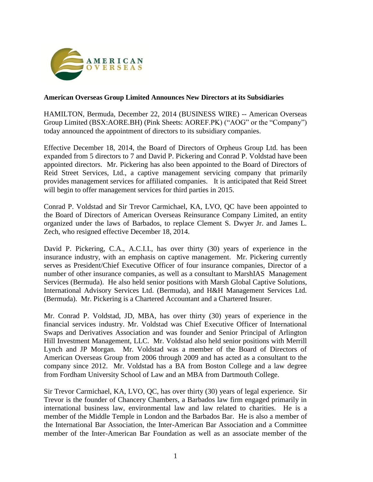

## **American Overseas Group Limited Announces New Directors at its Subsidiaries**

HAMILTON, Bermuda, December 22, 2014 (BUSINESS WIRE) -- American Overseas Group Limited (BSX:AORE.BH) (Pink Sheets: AOREF.PK) ("AOG" or the "Company") today announced the appointment of directors to its subsidiary companies.

Effective December 18, 2014, the Board of Directors of Orpheus Group Ltd. has been expanded from 5 directors to 7 and David P. Pickering and Conrad P. Voldstad have been appointed directors. Mr. Pickering has also been appointed to the Board of Directors of Reid Street Services, Ltd., a captive management servicing company that primarily provides management services for affiliated companies. It is anticipated that Reid Street will begin to offer management services for third parties in 2015.

Conrad P. Voldstad and Sir Trevor Carmichael, KA, LVO, QC have been appointed to the Board of Directors of American Overseas Reinsurance Company Limited, an entity organized under the laws of Barbados, to replace Clement S. Dwyer Jr. and James L. Zech, who resigned effective December 18, 2014.

David P. Pickering, C.A., A.C.I.I., has over thirty (30) years of experience in the insurance industry, with an emphasis on captive management. Mr. Pickering currently serves as President/Chief Executive Officer of four insurance companies, Director of a number of other insurance companies, as well as a consultant to MarshIAS Management Services (Bermuda). He also held senior positions with Marsh Global Captive Solutions, International Advisory Services Ltd. (Bermuda), and H&H Management Services Ltd. (Bermuda). Mr. Pickering is a Chartered Accountant and a Chartered Insurer.

Mr. Conrad P. Voldstad, JD, MBA, has over thirty (30) years of experience in the financial services industry. Mr. Voldstad was Chief Executive Officer of International Swaps and Derivatives Association and was founder and Senior Principal of Arlington Hill Investment Management, LLC. Mr. Voldstad also held senior positions with Merrill Lynch and JP Morgan. Mr. Voldstad was a member of the Board of Directors of American Overseas Group from 2006 through 2009 and has acted as a consultant to the company since 2012. Mr. Voldstad has a BA from Boston College and a law degree from Fordham University School of Law and an MBA from Dartmouth College.

Sir Trevor Carmichael, KA, LVO, QC, has over thirty (30) years of legal experience. Sir Trevor is the founder of Chancery Chambers, a Barbados law firm engaged primarily in international business law, environmental law and law related to charities. He is a member of the Middle Temple in London and the Barbados Bar. He is also a member of the International Bar Association, the Inter-American Bar Association and a Committee member of the Inter-American Bar Foundation as well as an associate member of the